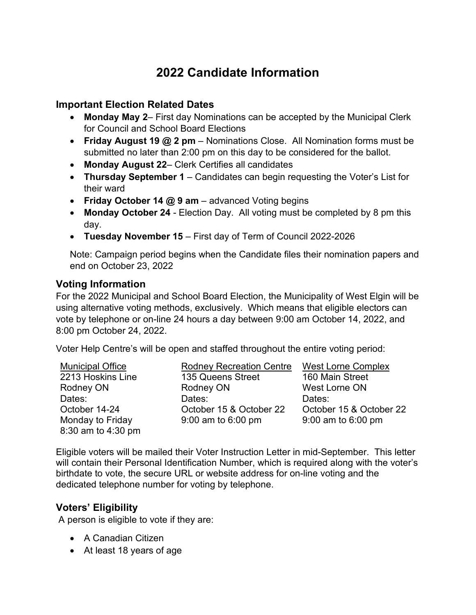# **2022 Candidate Information**

#### **Important Election Related Dates**

- **Monday May 2** First day Nominations can be accepted by the Municipal Clerk for Council and School Board Elections
- **Friday August 19 @ 2 pm** Nominations Close. All Nomination forms must be submitted no later than 2:00 pm on this day to be considered for the ballot.
- **Monday August 22** Clerk Certifies all candidates
- **Thursday September 1**  Candidates can begin requesting the Voter's List for their ward
- **Friday October 14 @ 9 am**  advanced Voting begins
- **Monday October 24**  Election Day. All voting must be completed by 8 pm this day.
- **Tuesday November 15**  First day of Term of Council 2022-2026

Note: Campaign period begins when the Candidate files their nomination papers and end on October 23, 2022

#### **Voting Information**

For the 2022 Municipal and School Board Election, the Municipality of West Elgin will be using alternative voting methods, exclusively. Which means that eligible electors can vote by telephone or on-line 24 hours a day between 9:00 am October 14, 2022, and 8:00 pm October 24, 2022.

Voter Help Centre's will be open and staffed throughout the entire voting period:

| <b>Municipal Office</b> | <b>Rodney Recreation Centre</b> | <b>West Lorne Complex</b> |
|-------------------------|---------------------------------|---------------------------|
| 2213 Hoskins Line       | 135 Queens Street               | 160 Main Street           |
| Rodney ON               | Rodney ON                       | West Lorne ON             |
| Dates:                  | Dates:                          | Dates:                    |
| October 14-24           | October 15 & October 22         | October 15 & October 22   |
| Monday to Friday        | $9:00$ am to 6:00 pm            | $9:00$ am to 6:00 pm      |
| 8:30 am to 4:30 pm      |                                 |                           |

Eligible voters will be mailed their Voter Instruction Letter in mid-September. This letter will contain their Personal Identification Number, which is required along with the voter's birthdate to vote, the secure URL or website address for on-line voting and the dedicated telephone number for voting by telephone.

### **Voters' Eligibility**

A person is eligible to vote if they are:

- A Canadian Citizen
- At least 18 years of age